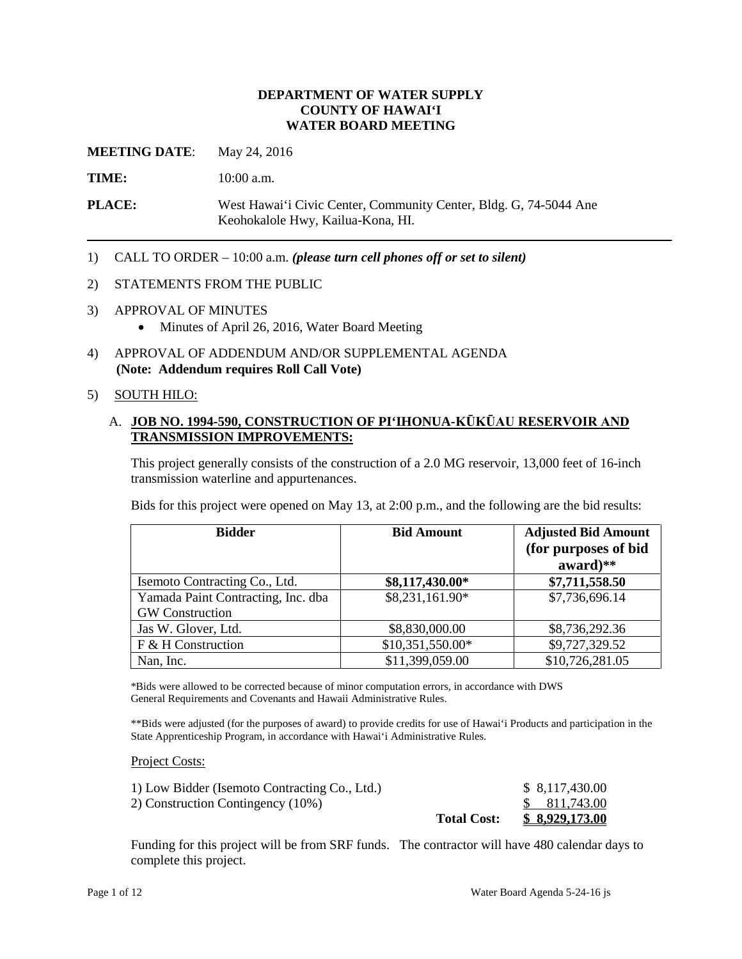#### **DEPARTMENT OF WATER SUPPLY COUNTY OF HAWAI'I WATER BOARD MEETING**

**MEETING DATE:** May 24, 2016

TIME: 10:00 a.m.

**PLACE:** West Hawai'i Civic Center, Community Center, Bldg. G, 74-5044 Ane Keohokalole Hwy, Kailua-Kona, HI.

1) CALL TO ORDER – 10:00 a.m. *(please turn cell phones off or set to silent)* 

#### 2) STATEMENTS FROM THE PUBLIC

- 3) APPROVAL OF MINUTES
	- Minutes of April 26, 2016, Water Board Meeting
- 4) APPROVAL OF ADDENDUM AND/OR SUPPLEMENTAL AGENDA **(Note: Addendum requires Roll Call Vote)**

### 5) SOUTH HILO:

## A. **JOB NO. 1994-590, CONSTRUCTION OF PI'IHONUA-KŪKŪAU RESERVOIR AND TRANSMISSION IMPROVEMENTS:**

This project generally consists of the construction of a 2.0 MG reservoir, 13,000 feet of 16-inch transmission waterline and appurtenances.

Bids for this project were opened on May 13, at 2:00 p.m., and the following are the bid results:

| <b>Bidder</b>                      | <b>Bid Amount</b> | <b>Adjusted Bid Amount</b><br>(for purposes of bid |
|------------------------------------|-------------------|----------------------------------------------------|
|                                    |                   | $award$ <sup>**</sup>                              |
| Isemoto Contracting Co., Ltd.      | \$8,117,430.00*   | \$7,711,558.50                                     |
| Yamada Paint Contracting, Inc. dba | \$8,231,161.90*   | \$7,736,696.14                                     |
| <b>GW</b> Construction             |                   |                                                    |
| Jas W. Glover, Ltd.                | \$8,830,000.00    | \$8,736,292.36                                     |
| F & H Construction                 | \$10,351,550.00*  | \$9,727,329.52                                     |
| Nan, Inc.                          | \$11,399,059.00   | \$10,726,281.05                                    |

\*Bids were allowed to be corrected because of minor computation errors, in accordance with DWS General Requirements and Covenants and Hawaii Administrative Rules.

\*\*Bids were adjusted (for the purposes of award) to provide credits for use of Hawai'i Products and participation in the State Apprenticeship Program, in accordance with Hawai'i Administrative Rules.

#### Project Costs:

| 2) Construction Contingency (10%) |                    | \$811,743.00   |
|-----------------------------------|--------------------|----------------|
|                                   | <b>Total Cost:</b> | \$8,929,173.00 |

 Funding for this project will be from SRF funds. The contractor will have 480 calendar days to complete this project.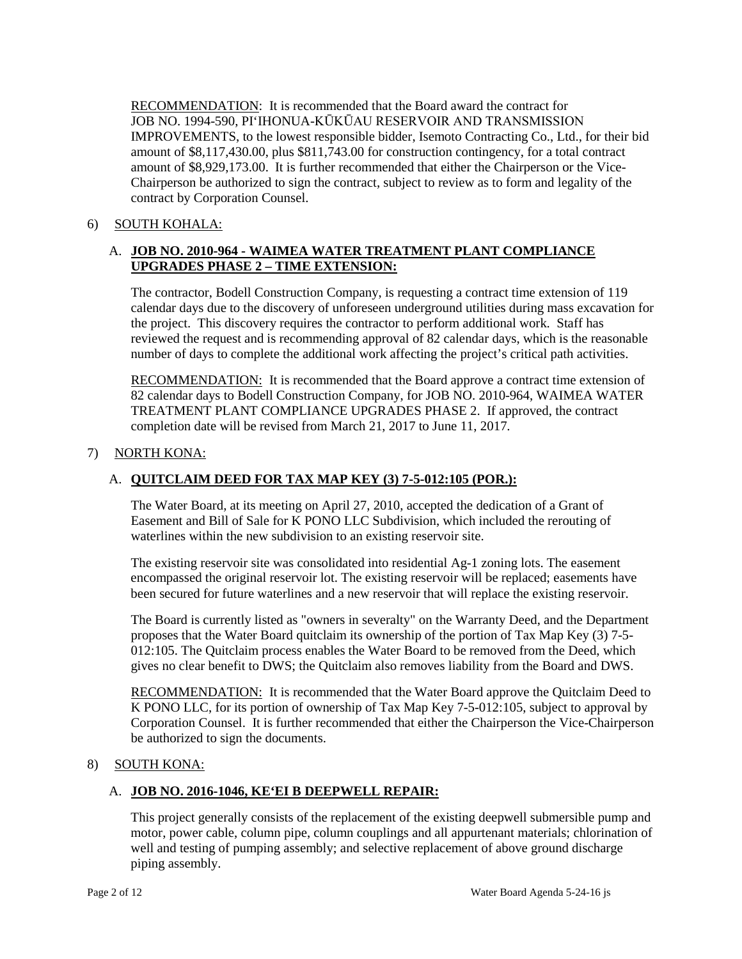RECOMMENDATION: It is recommended that the Board award the contract for JOB NO. 1994-590, PI'IHONUA-KŪKŪAU RESERVOIR AND TRANSMISSION IMPROVEMENTS, to the lowest responsible bidder, Isemoto Contracting Co., Ltd., for their bid amount of \$8,117,430.00, plus \$811,743.00 for construction contingency, for a total contract amount of \$8,929,173.00. It is further recommended that either the Chairperson or the Vice-Chairperson be authorized to sign the contract, subject to review as to form and legality of the contract by Corporation Counsel.

# 6) SOUTH KOHALA:

# A. **JOB NO. 2010-964 - WAIMEA WATER TREATMENT PLANT COMPLIANCE UPGRADES PHASE 2 – TIME EXTENSION:**

 reviewed the request and is recommending approval of 82 calendar days, which is the reasonable The contractor, Bodell Construction Company, is requesting a contract time extension of 119 calendar days due to the discovery of unforeseen underground utilities during mass excavation for the project. This discovery requires the contractor to perform additional work. Staff has number of days to complete the additional work affecting the project's critical path activities.

RECOMMENDATION: It is recommended that the Board approve a contract time extension of 82 calendar days to Bodell Construction Company, for JOB NO. 2010-964, WAIMEA WATER TREATMENT PLANT COMPLIANCE UPGRADES PHASE 2. If approved, the contract completion date will be revised from March 21, 2017 to June 11, 2017.

# 7) NORTH KONA:

# A. **QUITCLAIM DEED FOR TAX MAP KEY (3) 7-5-012:105 (POR.):**

 The Water Board, at its meeting on April 27, 2010, accepted the dedication of a Grant of Easement and Bill of Sale for K PONO LLC Subdivision, which included the rerouting of waterlines within the new subdivision to an existing reservoir site.

 encompassed the original reservoir lot. The existing reservoir will be replaced; easements have been secured for future waterlines and a new reservoir that will replace the existing reservoir. The existing reservoir site was consolidated into residential Ag-1 zoning lots. The easement

 The Board is currently listed as "owners in severalty" on the Warranty Deed, and the Department proposes that the Water Board quitclaim its ownership of the portion of Tax Map Key (3) 7-5 012:105. The Quitclaim process enables the Water Board to be removed from the Deed, which gives no clear benefit to DWS; the Quitclaim also removes liability from the Board and DWS.

**RECOMMENDATION:** It is recommended that the Water Board approve the Quitclaim Deed to K PONO LLC, for its portion of ownership of Tax Map Key 7-5-012:105, subject to approval by Corporation Counsel. It is further recommended that either the Chairperson the Vice-Chairperson be authorized to sign the documents.

## 8) SOUTH KONA:

## A. **JOB NO. 2016-1046, KE'EI B DEEPWELL REPAIR:**

This project generally consists of the replacement of the existing deepwell submersible pump and motor, power cable, column pipe, column couplings and all appurtenant materials; chlorination of well and testing of pumping assembly; and selective replacement of above ground discharge piping assembly.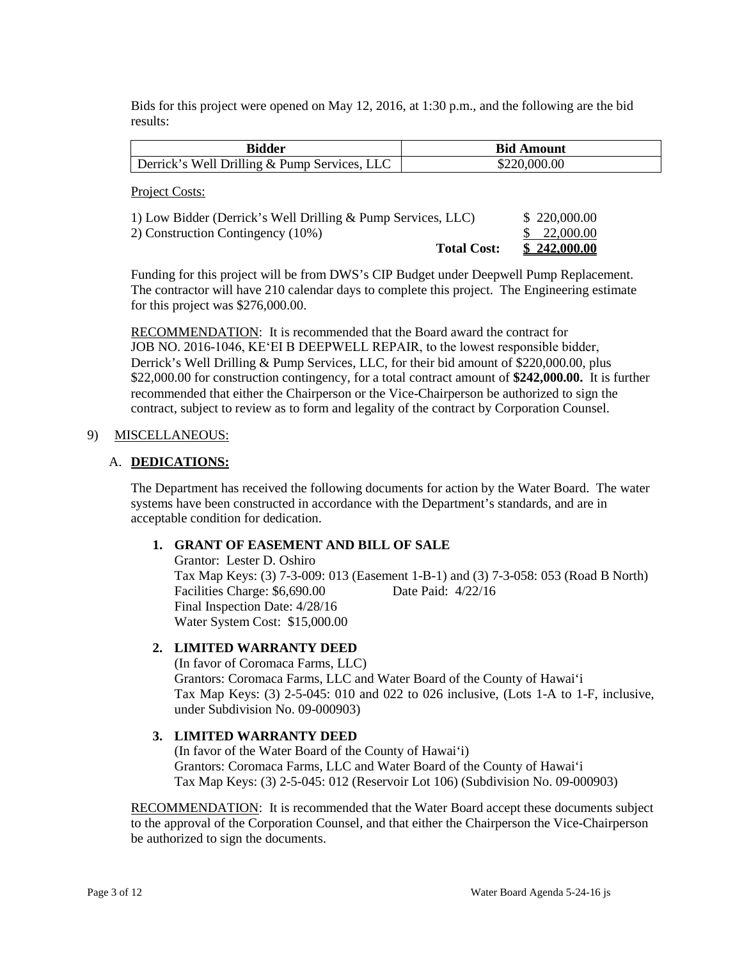Bids for this project were opened on May 12, 2016, at 1:30 p.m., and the following are the bid results:

| <b>Bidder</b>                                                                                     |                    | <b>Bid Amount</b>         |  |
|---------------------------------------------------------------------------------------------------|--------------------|---------------------------|--|
| Derrick's Well Drilling & Pump Services, LLC                                                      |                    | \$220,000.00              |  |
| Project Costs:                                                                                    |                    |                           |  |
| 1) Low Bidder (Derrick's Well Drilling & Pump Services, LLC)<br>2) Construction Contingency (10%) |                    | \$220,000.00<br>22,000.00 |  |
|                                                                                                   | <b>Total Cost:</b> | \$242,000.00              |  |

 The contractor will have 210 calendar days to complete this project. The Engineering estimate Funding for this project will be from DWS's CIP Budget under Deepwell Pump Replacement. for this project was \$276,000.00.

RECOMMENDATION: It is recommended that the Board award the contract for \$22,000.00 for construction contingency, for a total contract amount of **\$242,000.00.** It is further recommended that either the Chairperson or the Vice-Chairperson be authorized to sign the contract, subject to review as to form and legality of the contract by Corporation Counsel. JOB NO. 2016-1046, KEʻEI B DEEPWELL REPAIR, to the lowest responsible bidder, Derrick's Well Drilling & Pump Services, LLC, for their bid amount of \$220,000.00, plus

#### 9) MISCELLANEOUS:

#### A. **DEDICATIONS:**

The Department has received the following documents for action by the Water Board. The water systems have been constructed in accordance with the Department's standards, and are in acceptable condition for dedication.

## **1. GRANT OF EASEMENT AND BILL OF SALE**

 Tax Map Keys: (3) 7-3-009: 013 (Easement 1-B-1) and (3) 7-3-058: 053 (Road B North) Final Inspection Date: 4/28/16 Grantor: Lester D. Oshiro Facilities Charge: \$6,690.00 Date Paid: 4/22/16 Water System Cost: \$15,000.00

## **2. LIMITED WARRANTY DEED**

(In favor of Coromaca Farms, LLC) Grantors: Coromaca Farms, LLC and Water Board of the County of Hawai'i Tax Map Keys: (3) 2-5-045: 010 and 022 to 026 inclusive, (Lots 1-A to 1-F, inclusive, under Subdivision No. 09-000903)

## **3. LIMITED WARRANTY DEED**

(In favor of the Water Board of the County of Hawai'i) Grantors: Coromaca Farms, LLC and Water Board of the County of Hawai'i Tax Map Keys: (3) 2-5-045: 012 (Reservoir Lot 106) (Subdivision No. 09-000903)

RECOMMENDATION: It is recommended that the Water Board accept these documents subject to the approval of the Corporation Counsel, and that either the Chairperson the Vice-Chairperson be authorized to sign the documents.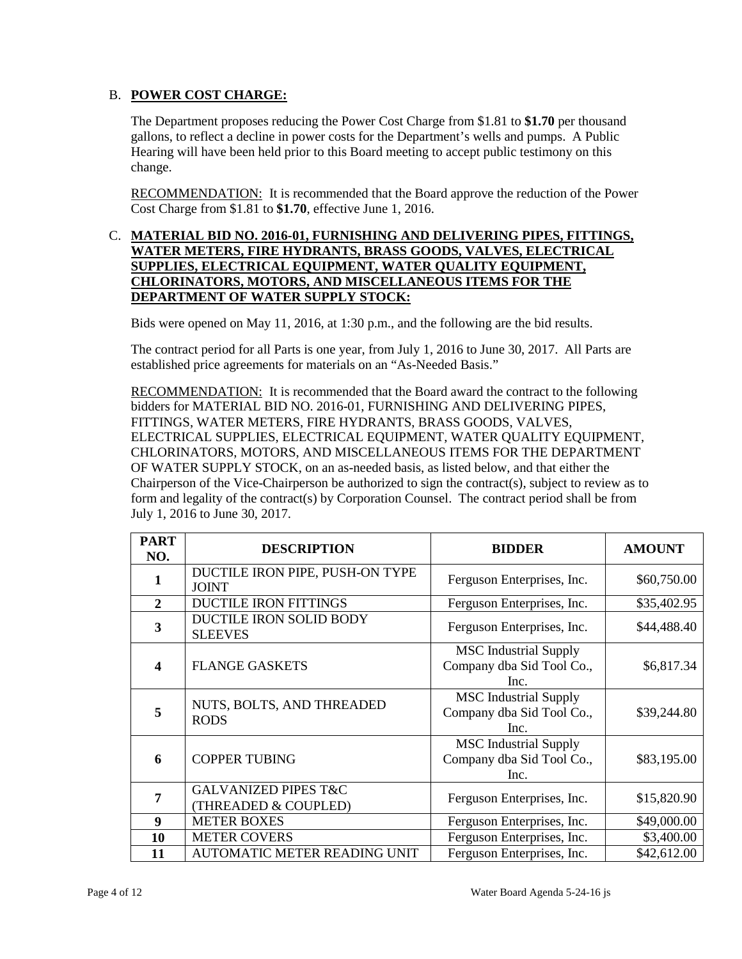# B. **POWER COST CHARGE:**

 gallons, to reflect a decline in power costs for the Department's wells and pumps. A Public The Department proposes reducing the Power Cost Charge from \$1.81 to **\$1.70** per thousand Hearing will have been held prior to this Board meeting to accept public testimony on this change.

RECOMMENDATION: It is recommended that the Board approve the reduction of the Power Cost Charge from \$1.81 to **\$1.70**, effective June 1, 2016.

## **CHLORINATORS, MOTORS, AND MISCELLANEOUS ITEMS FOR THE**  C. **MATERIAL BID NO. 2016-01, FURNISHING AND DELIVERING PIPES, FITTINGS, WATER METERS, FIRE HYDRANTS, BRASS GOODS, VALVES, ELECTRICAL SUPPLIES, ELECTRICAL EQUIPMENT, WATER QUALITY EQUIPMENT, DEPARTMENT OF WATER SUPPLY STOCK:**

Bids were opened on May 11, 2016, at 1:30 p.m., and the following are the bid results.

The contract period for all Parts is one year, from July 1, 2016 to June 30, 2017. All Parts are established price agreements for materials on an "As-Needed Basis."

RECOMMENDATION: It is recommended that the Board award the contract to the following bidders for MATERIAL BID NO. 2016-01, FURNISHING AND DELIVERING PIPES, OF WATER SUPPLY STOCK, on an as-needed basis, as listed below, and that either the form and legality of the contract(s) by Corporation Counsel. The contract period shall be from FITTINGS, WATER METERS, FIRE HYDRANTS, BRASS GOODS, VALVES, ELECTRICAL SUPPLIES, ELECTRICAL EQUIPMENT, WATER QUALITY EQUIPMENT, CHLORINATORS, MOTORS, AND MISCELLANEOUS ITEMS FOR THE DEPARTMENT Chairperson of the Vice-Chairperson be authorized to sign the contract(s), subject to review as to July 1, 2016 to June 30, 2017.

| <b>PART</b>      | <b>DESCRIPTION</b>                                      | <b>BIDDER</b>                                                     | <b>AMOUNT</b> |
|------------------|---------------------------------------------------------|-------------------------------------------------------------------|---------------|
| NO.              |                                                         |                                                                   |               |
| 1                | DUCTILE IRON PIPE, PUSH-ON TYPE<br><b>JOINT</b>         | Ferguson Enterprises, Inc.                                        | \$60,750.00   |
| $\mathbf{2}$     | <b>DUCTILE IRON FITTINGS</b>                            | Ferguson Enterprises, Inc.                                        | \$35,402.95   |
| 3                | DUCTILE IRON SOLID BODY<br><b>SLEEVES</b>               | Ferguson Enterprises, Inc.                                        | \$44,488.40   |
| $\boldsymbol{4}$ | <b>FLANGE GASKETS</b>                                   | <b>MSC</b> Industrial Supply<br>Company dba Sid Tool Co.,<br>Inc. | \$6,817.34    |
| 5                | NUTS, BOLTS, AND THREADED<br><b>RODS</b>                | <b>MSC</b> Industrial Supply<br>Company dba Sid Tool Co.,<br>Inc. | \$39,244.80   |
| 6                | <b>COPPER TUBING</b>                                    | <b>MSC</b> Industrial Supply<br>Company dba Sid Tool Co.,<br>Inc. | \$83,195.00   |
| 7                | <b>GALVANIZED PIPES T&amp;C</b><br>(THREADED & COUPLED) | Ferguson Enterprises, Inc.                                        | \$15,820.90   |
| 9                | <b>METER BOXES</b>                                      | Ferguson Enterprises, Inc.                                        | \$49,000.00   |
| 10               | <b>METER COVERS</b>                                     | Ferguson Enterprises, Inc.                                        | \$3,400.00    |
| 11               | <b>AUTOMATIC METER READING UNIT</b>                     | Ferguson Enterprises, Inc.                                        | \$42,612.00   |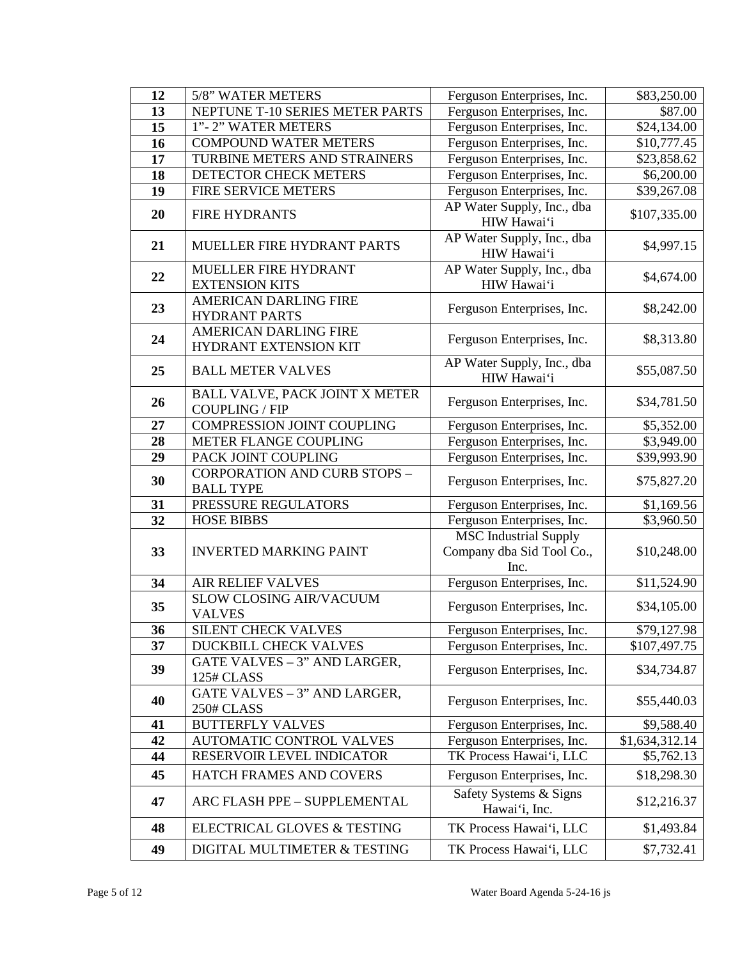| 12              | 5/8" WATER METERS                                              | Ferguson Enterprises, Inc.                                        | \$83,250.00    |
|-----------------|----------------------------------------------------------------|-------------------------------------------------------------------|----------------|
| 13              | NEPTUNE T-10 SERIES METER PARTS                                | Ferguson Enterprises, Inc.                                        | \$87.00        |
| 15              | 1"-2" WATER METERS                                             | Ferguson Enterprises, Inc.                                        | \$24,134.00    |
| 16              | <b>COMPOUND WATER METERS</b>                                   | Ferguson Enterprises, Inc.                                        | \$10,777.45    |
| 17              | TURBINE METERS AND STRAINERS                                   | Ferguson Enterprises, Inc.                                        | \$23,858.62    |
| 18              | DETECTOR CHECK METERS                                          | Ferguson Enterprises, Inc.                                        | \$6,200.00     |
| 19              | FIRE SERVICE METERS                                            | Ferguson Enterprises, Inc.                                        | \$39,267.08    |
| 20              | <b>FIRE HYDRANTS</b>                                           | AP Water Supply, Inc., dba<br>HIW Hawai'i                         | \$107,335.00   |
| 21              | MUELLER FIRE HYDRANT PARTS                                     | AP Water Supply, Inc., dba<br>HIW Hawai'i                         | \$4,997.15     |
| 22              | MUELLER FIRE HYDRANT                                           | AP Water Supply, Inc., dba                                        | \$4,674.00     |
|                 | <b>EXTENSION KITS</b>                                          | HIW Hawai'i                                                       |                |
| 23              | <b>AMERICAN DARLING FIRE</b><br><b>HYDRANT PARTS</b>           | Ferguson Enterprises, Inc.                                        | \$8,242.00     |
| 24              | <b>AMERICAN DARLING FIRE</b><br>HYDRANT EXTENSION KIT          | Ferguson Enterprises, Inc.                                        | \$8,313.80     |
| 25              | <b>BALL METER VALVES</b>                                       | AP Water Supply, Inc., dba<br>HIW Hawai'i                         | \$55,087.50    |
| 26              | <b>BALL VALVE, PACK JOINT X METER</b><br><b>COUPLING / FIP</b> | Ferguson Enterprises, Inc.                                        | \$34,781.50    |
| 27              | <b>COMPRESSION JOINT COUPLING</b>                              | Ferguson Enterprises, Inc.                                        | \$5,352.00     |
| 28              | METER FLANGE COUPLING                                          | Ferguson Enterprises, Inc.                                        | \$3,949.00     |
| 29              | PACK JOINT COUPLING                                            | Ferguson Enterprises, Inc.                                        | \$39,993.90    |
| 30              | CORPORATION AND CURB STOPS -<br><b>BALL TYPE</b>               | Ferguson Enterprises, Inc.                                        | \$75,827.20    |
| 31              | PRESSURE REGULATORS                                            | Ferguson Enterprises, Inc.                                        | \$1,169.56     |
| $\overline{32}$ | <b>HOSE BIBBS</b>                                              | Ferguson Enterprises, Inc.                                        | \$3,960.50     |
| 33              | <b>INVERTED MARKING PAINT</b>                                  | <b>MSC</b> Industrial Supply<br>Company dba Sid Tool Co.,<br>Inc. | \$10,248.00    |
| 34              | <b>AIR RELIEF VALVES</b>                                       | Ferguson Enterprises, Inc.                                        | \$11,524.90    |
| 35              | <b>SLOW CLOSING AIR/VACUUM</b><br><b>VALVES</b>                | Ferguson Enterprises, Inc.                                        | \$34,105.00    |
| 36              | <b>SILENT CHECK VALVES</b>                                     | Ferguson Enterprises, Inc.                                        | \$79,127.98    |
| 37              | DUCKBILL CHECK VALVES                                          | Ferguson Enterprises, Inc.                                        | \$107,497.75   |
| 39              | GATE VALVES - 3" AND LARGER,<br>125# CLASS                     | Ferguson Enterprises, Inc.                                        | \$34,734.87    |
| 40              | GATE VALVES - 3" AND LARGER,<br>250# CLASS                     | Ferguson Enterprises, Inc.                                        | \$55,440.03    |
| 41              | <b>BUTTERFLY VALVES</b>                                        | Ferguson Enterprises, Inc.                                        | \$9,588.40     |
| 42              | <b>AUTOMATIC CONTROL VALVES</b>                                | Ferguson Enterprises, Inc.                                        | \$1,634,312.14 |
| 44              | RESERVOIR LEVEL INDICATOR                                      | TK Process Hawai'i, LLC                                           | \$5,762.13     |
| 45              | HATCH FRAMES AND COVERS                                        | Ferguson Enterprises, Inc.                                        | \$18,298.30    |
| 47              | ARC FLASH PPE - SUPPLEMENTAL                                   | Safety Systems & Signs<br>Hawai'i, Inc.                           | \$12,216.37    |
| 48              | ELECTRICAL GLOVES & TESTING                                    | TK Process Hawai'i, LLC                                           | \$1,493.84     |
| 49              | DIGITAL MULTIMETER & TESTING                                   | TK Process Hawai'i, LLC                                           | \$7,732.41     |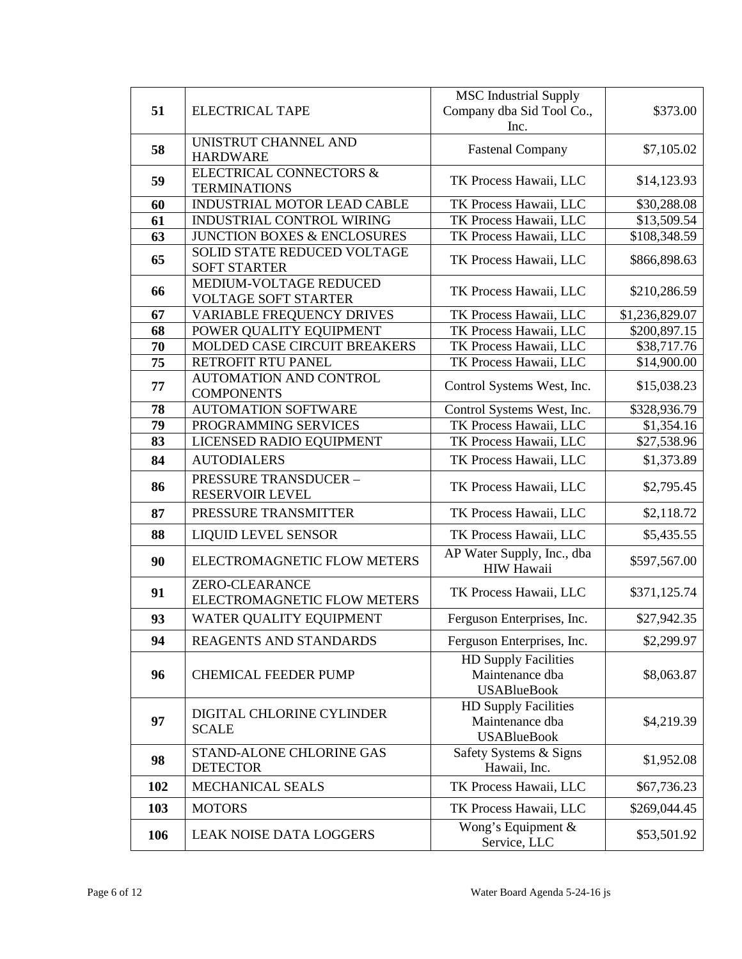|     |                                                        | <b>MSC</b> Industrial Supply                         |                |
|-----|--------------------------------------------------------|------------------------------------------------------|----------------|
| 51  | <b>ELECTRICAL TAPE</b>                                 | Company dba Sid Tool Co.,                            | \$373.00       |
|     |                                                        | Inc.                                                 |                |
| 58  | UNISTRUT CHANNEL AND                                   | <b>Fastenal Company</b>                              | \$7,105.02     |
|     | <b>HARDWARE</b>                                        |                                                      |                |
| 59  | <b>ELECTRICAL CONNECTORS &amp;</b>                     | TK Process Hawaii, LLC                               | \$14,123.93    |
|     | <b>TERMINATIONS</b>                                    |                                                      |                |
| 60  | INDUSTRIAL MOTOR LEAD CABLE                            | TK Process Hawaii, LLC                               | \$30,288.08    |
| 61  | INDUSTRIAL CONTROL WIRING                              | TK Process Hawaii, LLC                               | \$13,509.54    |
| 63  | JUNCTION BOXES & ENCLOSURES                            | TK Process Hawaii, LLC                               | \$108,348.59   |
| 65  | <b>SOLID STATE REDUCED VOLTAGE</b>                     | TK Process Hawaii, LLC                               | \$866,898.63   |
|     | <b>SOFT STARTER</b>                                    |                                                      |                |
| 66  | MEDIUM-VOLTAGE REDUCED                                 | TK Process Hawaii, LLC                               | \$210,286.59   |
|     | <b>VOLTAGE SOFT STARTER</b>                            |                                                      |                |
| 67  | <b>VARIABLE FREQUENCY DRIVES</b>                       | TK Process Hawaii, LLC                               | \$1,236,829.07 |
| 68  | POWER QUALITY EQUIPMENT                                | TK Process Hawaii, LLC                               | \$200,897.15   |
| 70  | MOLDED CASE CIRCUIT BREAKERS                           | TK Process Hawaii, LLC                               | \$38,717.76    |
| 75  | RETROFIT RTU PANEL                                     | TK Process Hawaii, LLC                               | \$14,900.00    |
| 77  | <b>AUTOMATION AND CONTROL</b>                          | Control Systems West, Inc.                           | \$15,038.23    |
| 78  | <b>COMPONENTS</b><br><b>AUTOMATION SOFTWARE</b>        |                                                      | \$328,936.79   |
| 79  | PROGRAMMING SERVICES                                   | Control Systems West, Inc.<br>TK Process Hawaii, LLC | \$1,354.16     |
| 83  | LICENSED RADIO EQUIPMENT                               | TK Process Hawaii, LLC                               |                |
|     |                                                        |                                                      | \$27,538.96    |
| 84  | <b>AUTODIALERS</b>                                     | TK Process Hawaii, LLC                               | \$1,373.89     |
| 86  | <b>PRESSURE TRANSDUCER -</b><br><b>RESERVOIR LEVEL</b> | TK Process Hawaii, LLC                               | \$2,795.45     |
| 87  | PRESSURE TRANSMITTER                                   | TK Process Hawaii, LLC                               | \$2,118.72     |
| 88  | <b>LIQUID LEVEL SENSOR</b>                             | TK Process Hawaii, LLC                               | \$5,435.55     |
| 90  | ELECTROMAGNETIC FLOW METERS                            | AP Water Supply, Inc., dba<br><b>HIW Hawaii</b>      | \$597,567.00   |
|     | <b>ZERO-CLEARANCE</b>                                  |                                                      |                |
| 91  | ELECTROMAGNETIC FLOW METERS                            | TK Process Hawaii, LLC                               | \$371,125.74   |
| 93  | WATER QUALITY EQUIPMENT                                | Ferguson Enterprises, Inc.                           | \$27,942.35    |
| 94  | <b>REAGENTS AND STANDARDS</b>                          | Ferguson Enterprises, Inc.                           | \$2,299.97     |
|     |                                                        | <b>HD Supply Facilities</b>                          |                |
| 96  | <b>CHEMICAL FEEDER PUMP</b>                            | Maintenance dba<br><b>USABlueBook</b>                | \$8,063.87     |
|     |                                                        | <b>HD Supply Facilities</b>                          |                |
| 97  | DIGITAL CHLORINE CYLINDER                              | Maintenance dba                                      | \$4,219.39     |
|     | <b>SCALE</b>                                           | <b>USABlueBook</b>                                   |                |
| 98  | STAND-ALONE CHLORINE GAS                               | Safety Systems & Signs                               |                |
|     | <b>DETECTOR</b>                                        | Hawaii, Inc.                                         | \$1,952.08     |
| 102 | MECHANICAL SEALS                                       | TK Process Hawaii, LLC                               | \$67,736.23    |
| 103 | <b>MOTORS</b>                                          | TK Process Hawaii, LLC                               | \$269,044.45   |
| 106 | <b>LEAK NOISE DATA LOGGERS</b>                         | Wong's Equipment &<br>Service, LLC                   | \$53,501.92    |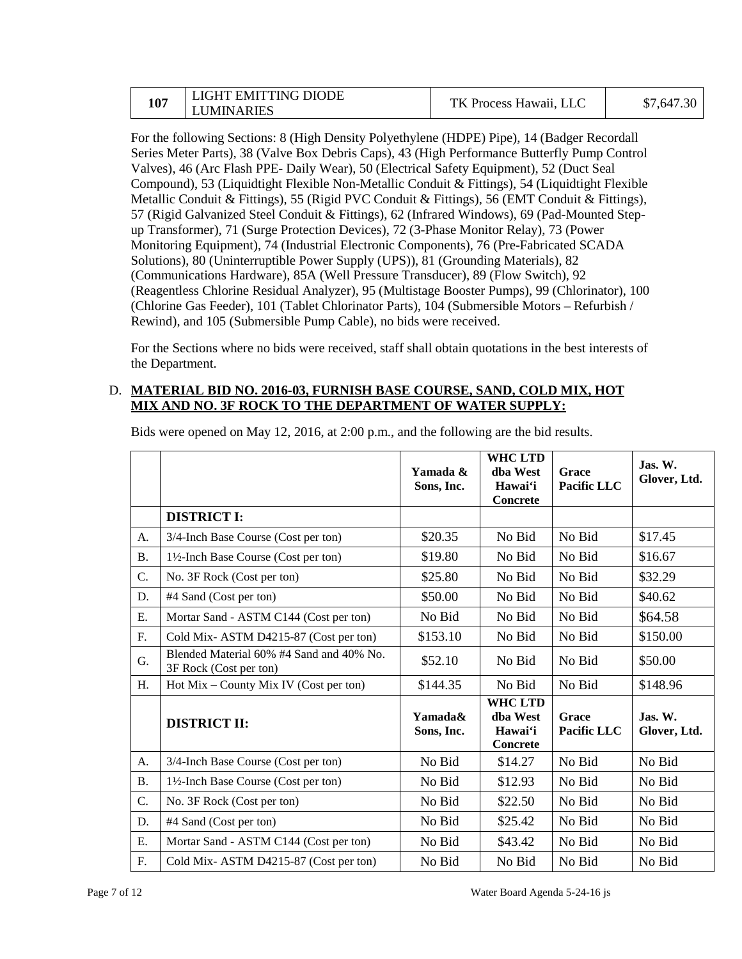|     | LIGHT EMITTING DIODE |                        | 1.30<br>\$7,647 |  |
|-----|----------------------|------------------------|-----------------|--|
| 107 | <b>LUMINARIES</b>    | TK Process Hawaii, LLC |                 |  |

For the following Sections: 8 (High Density Polyethylene (HDPE) Pipe), 14 (Badger Recordall Series Meter Parts), 38 (Valve Box Debris Caps), 43 (High Performance Butterfly Pump Control Valves), 46 (Arc Flash PPE- Daily Wear), 50 (Electrical Safety Equipment), 52 (Duct Seal Compound), 53 (Liquidtight Flexible Non-Metallic Conduit & Fittings), 54 (Liquidtight Flexible Metallic Conduit & Fittings), 55 (Rigid PVC Conduit & Fittings), 56 (EMT Conduit & Fittings), 57 (Rigid Galvanized Steel Conduit & Fittings), 62 (Infrared Windows), 69 (Pad-Mounted Stepup Transformer), 71 (Surge Protection Devices), 72 (3-Phase Monitor Relay), 73 (Power Monitoring Equipment), 74 (Industrial Electronic Components), 76 (Pre-Fabricated SCADA Solutions), 80 (Uninterruptible Power Supply (UPS)), 81 (Grounding Materials), 82 (Communications Hardware), 85A (Well Pressure Transducer), 89 (Flow Switch), 92 (Reagentless Chlorine Residual Analyzer), 95 (Multistage Booster Pumps), 99 (Chlorinator), 100 (Chlorine Gas Feeder), 101 (Tablet Chlorinator Parts), 104 (Submersible Motors – Refurbish / Rewind), and 105 (Submersible Pump Cable), no bids were received.

 For the Sections where no bids were received, staff shall obtain quotations in the best interests of the Department.

## D. **MATERIAL BID NO. 2016-03, FURNISH BASE COURSE, SAND, COLD MIX, HOT MIX AND NO. 3F ROCK TO THE DEPARTMENT OF WATER SUPPLY:**

|           |                                                                    | Yamada &<br>Sons, Inc. | <b>WHC LTD</b><br>dba West<br>Hawai'i<br><b>Concrete</b> | Grace<br>Pacific LLC | Jas. W.<br>Glover, Ltd.             |
|-----------|--------------------------------------------------------------------|------------------------|----------------------------------------------------------|----------------------|-------------------------------------|
|           | <b>DISTRICT I:</b>                                                 |                        |                                                          |                      |                                     |
| A.        | 3/4-Inch Base Course (Cost per ton)                                | \$20.35                | No Bid                                                   | No Bid               | \$17.45                             |
| <b>B.</b> | 1½-Inch Base Course (Cost per ton)                                 | \$19.80                | No Bid                                                   | No Bid               | \$16.67                             |
| C.        | No. 3F Rock (Cost per ton)                                         | \$25.80                | No Bid                                                   | No Bid               | \$32.29                             |
| D.        | #4 Sand (Cost per ton)                                             | \$50.00                | No Bid                                                   | No Bid               | \$40.62                             |
| Ε.        | Mortar Sand - ASTM C144 (Cost per ton)                             | No Bid                 | No Bid                                                   | No Bid               | \$64.58                             |
| F.        | Cold Mix-ASTM D4215-87 (Cost per ton)                              | \$153.10               | No Bid                                                   | No Bid               | \$150.00                            |
| G.        | Blended Material 60% #4 Sand and 40% No.<br>3F Rock (Cost per ton) | \$52.10                | No Bid                                                   | No Bid               | \$50.00                             |
| H.        | Hot Mix – County Mix IV (Cost per ton)                             | \$144.35               | No Bid                                                   | No Bid               | \$148.96                            |
|           | <b>DISTRICT II:</b>                                                | Yamada&<br>Sons, Inc.  | <b>WHC LTD</b><br>dha West<br>Hawai'i<br><b>Concrete</b> | Grace<br>Pacific LLC | $\mathbf{J}$ as. W.<br>Glover, Ltd. |
| A.        | 3/4-Inch Base Course (Cost per ton)                                | No Bid                 | \$14.27                                                  | No Bid               | No Bid                              |
| <b>B.</b> | 1½-Inch Base Course (Cost per ton)                                 | No Bid                 | \$12.93                                                  | No Bid               | No Bid                              |
| C.        | No. 3F Rock (Cost per ton)                                         | No Bid                 | \$22.50                                                  | No Bid               | No Bid                              |
| D.        | #4 Sand (Cost per ton)                                             | No Bid                 | \$25.42                                                  | No Bid               | No Bid                              |
| E.        | Mortar Sand - ASTM C144 (Cost per ton)                             | No Bid                 | \$43.42                                                  | No Bid               | No Bid                              |
| F.        | Cold Mix-ASTM D4215-87 (Cost per ton)                              | No Bid                 | No Bid                                                   | No Bid               | No Bid                              |

Bids were opened on May 12, 2016, at 2:00 p.m., and the following are the bid results.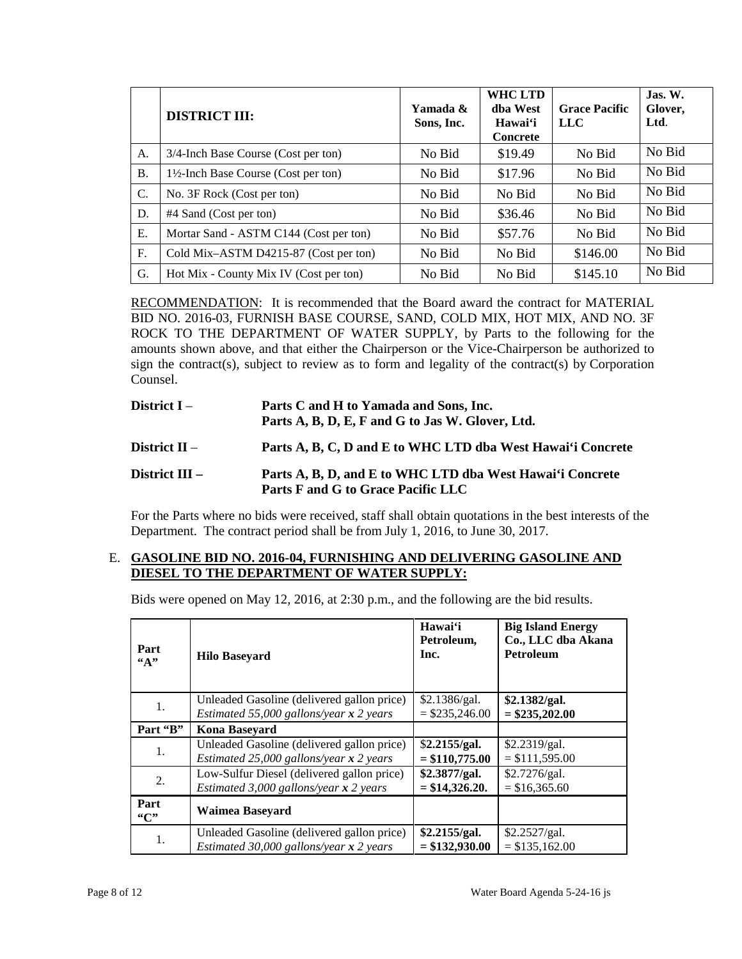|                 | <b>DISTRICT III:</b>                            | Yamada &<br>Sons, Inc. | <b>WHCLTD</b><br>dha West<br>Hawai'i<br><b>Concrete</b> | <b>Grace Pacific</b><br><b>LLC</b> | $\mathbf{J}$ as. W.<br>Glover,<br>Ltd. |
|-----------------|-------------------------------------------------|------------------------|---------------------------------------------------------|------------------------------------|----------------------------------------|
| A.              | 3/4-Inch Base Course (Cost per ton)             | No Bid                 | \$19.49                                                 | No Bid                             | No Bid                                 |
| <b>B.</b>       | $1\frac{1}{2}$ -Inch Base Course (Cost per ton) | No Bid                 | \$17.96                                                 | No Bid                             | No Bid                                 |
| $\mathcal{C}$ . | No. 3F Rock (Cost per ton)                      | No Bid                 | No Bid                                                  | No Bid                             | No Bid                                 |
| D.              | #4 Sand (Cost per ton)                          | No Bid                 | \$36.46                                                 | No Bid                             | No Bid                                 |
| E.              | Mortar Sand - ASTM C144 (Cost per ton)          | No Bid                 | \$57.76                                                 | No Bid                             | No Bid                                 |
| F.              | Cold Mix-ASTM D4215-87 (Cost per ton)           | No Bid                 | No Bid                                                  | \$146.00                           | No Bid                                 |
| G.              | Hot Mix - County Mix IV (Cost per ton)          | No Bid                 | No Bid                                                  | \$145.10                           | No Bid                                 |

RECOMMENDATION: It is recommended that the Board award the contract for MATERIAL BID NO. 2016-03, FURNISH BASE COURSE, SAND, COLD MIX, HOT MIX, AND NO. 3F amounts shown above, and that either the Chairperson or the Vice-Chairperson be authorized to sign the contract(s), subject to review as to form and legality of the contract(s) by Corporation ROCK TO THE DEPARTMENT OF WATER SUPPLY, by Parts to the following for the Counsel.

| District I –     | Parts C and H to Yamada and Sons, Inc.                                                          |
|------------------|-------------------------------------------------------------------------------------------------|
|                  | Parts A, B, D, E, F and G to Jas W. Glover, Ltd.                                                |
| District $II -$  | Parts A, B, C, D and E to WHC LTD dba West Hawai'i Concrete                                     |
| District $III -$ | Parts A, B, D, and E to WHC LTD dba West Hawai'i Concrete<br>Parts F and G to Grace Pacific LLC |

 For the Parts where no bids were received, staff shall obtain quotations in the best interests of the Department. The contract period shall be from July 1, 2016, to June 30, 2017.

## E. **GASOLINE BID NO. 2016-04, FURNISHING AND DELIVERING GASOLINE AND DIESEL TO THE DEPARTMENT OF WATER SUPPLY:**

Bids were opened on May 12, 2016, at 2:30 p.m., and the following are the bid results.

| Part<br>$\mathfrak{c}(\mathbf{A})$ | <b>Hilo Baseyard</b>                       | Hawai'i<br>Petroleum,<br>Inc. | <b>Big Island Energy</b><br>Co., LLC dba Akana<br><b>Petroleum</b> |
|------------------------------------|--------------------------------------------|-------------------------------|--------------------------------------------------------------------|
| 1.                                 | Unleaded Gasoline (delivered gallon price) | \$2.1386/gal.                 | \$2.1382/gal.                                                      |
|                                    | Estimated 55,000 gallons/year $x$ 2 years  | $=$ \$235,246.00              | $=$ \$235,202.00                                                   |
| Part "B"                           | <b>Kona Baseyard</b>                       |                               |                                                                    |
| 1.                                 | Unleaded Gasoline (delivered gallon price) | \$2.2155/gal.                 | \$2.2319/gal.                                                      |
|                                    | Estimated 25,000 gallons/year $x$ 2 years  | $= $110,775.00$               | $= $111,595.00$                                                    |
| 2.                                 | Low-Sulfur Diesel (delivered gallon price) | \$2.3877/gal.                 | \$2.7276/gal.                                                      |
|                                    | Estimated 3,000 gallons/year $x$ 2 years   | $= $14,326.20.$               | $= $16,365.60$                                                     |
| Part<br>"C"                        | Waimea Baseyard                            |                               |                                                                    |
| 1.                                 | Unleaded Gasoline (delivered gallon price) | \$2.2155/gal.                 | \$2.2527/gal.                                                      |
|                                    | Estimated 30,000 gallons/year $x$ 2 years  | $= $132,930.00$               | $= $135,162.00$                                                    |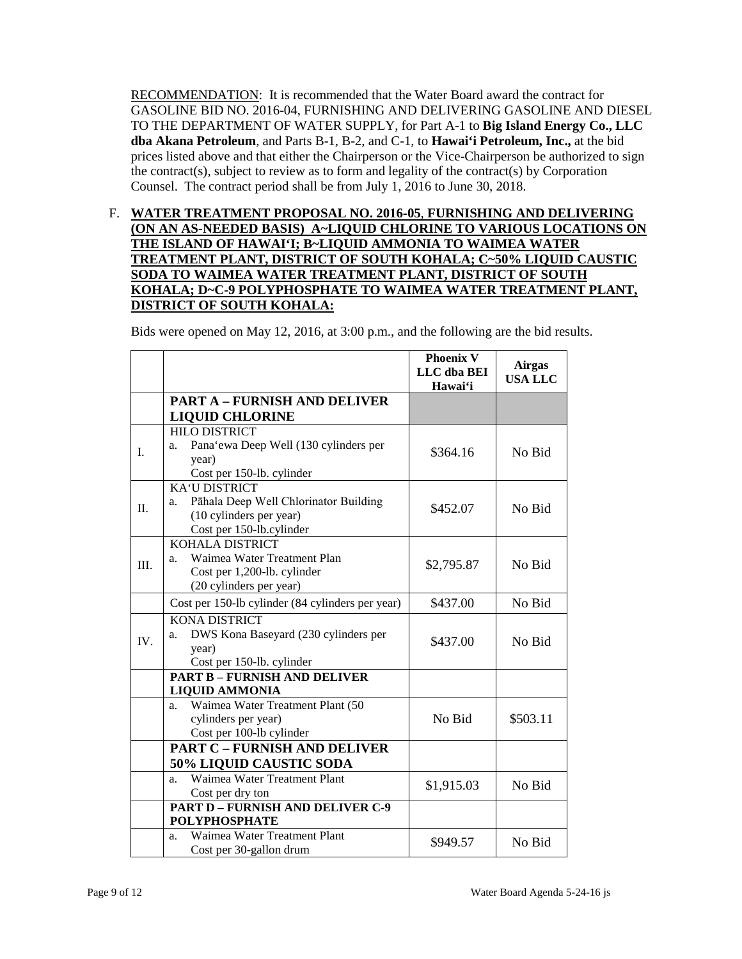RECOMMENDATION: It is recommended that the Water Board award the contract for  **dba Akana Petroleum**, and Parts B-1, B-2, and C-1, to **Hawai'i Petroleum, Inc.,** at the bid prices listed above and that either the Chairperson or the Vice-Chairperson be authorized to sign the contract(s), subject to review as to form and legality of the contract(s) by Corporation GASOLINE BID NO. 2016-04, FURNISHING AND DELIVERING GASOLINE AND DIESEL TO THE DEPARTMENT OF WATER SUPPLY, for Part A-1 to **Big Island Energy Co., LLC**  Counsel. The contract period shall be from July 1, 2016 to June 30, 2018.

 **THE ISLAND OF HAWAI'I; B~LIQUID AMMONIA TO WAIMEA WATER**  F. **WATER TREATMENT PROPOSAL NO. 2016-05**, **FURNISHING AND DELIVERING (ON AN AS-NEEDED BASIS) A~LIQUID CHLORINE TO VARIOUS LOCATIONS ON TREATMENT PLANT, DISTRICT OF SOUTH KOHALA; C~50% LIQUID CAUSTIC SODA TO WAIMEA WATER TREATMENT PLANT, DISTRICT OF SOUTH KOHALA; D~C-9 POLYPHOSPHATE TO WAIMEA WATER TREATMENT PLANT, DISTRICT OF SOUTH KOHALA:** 

Bids were opened on May 12, 2016, at 3:00 p.m., and the following are the bid results.

|     |                                                                                                                            | <b>Phoenix V</b><br>LLC dba BEI<br>Hawai'i | <b>Airgas</b><br><b>USA LLC</b> |
|-----|----------------------------------------------------------------------------------------------------------------------------|--------------------------------------------|---------------------------------|
|     | <b>PART A - FURNISH AND DELIVER</b>                                                                                        |                                            |                                 |
|     | <b>LIQUID CHLORINE</b>                                                                                                     |                                            |                                 |
| I.  | <b>HILO DISTRICT</b><br>Pana'ewa Deep Well (130 cylinders per<br>a.<br>year)<br>Cost per 150-lb. cylinder                  | \$364.16                                   | No Bid                          |
| II. | <b>KA'U DISTRICT</b><br>Pāhala Deep Well Chlorinator Building<br>a.<br>(10 cylinders per year)<br>Cost per 150-lb.cylinder | \$452.07                                   | No Bid                          |
| Ш.  | <b>KOHALA DISTRICT</b><br>Waimea Water Treatment Plan<br>a.<br>Cost per 1,200-lb. cylinder<br>(20 cylinders per year)      | \$2,795.87                                 | No Bid                          |
|     | Cost per 150-lb cylinder (84 cylinders per year)                                                                           | \$437.00                                   | No Bid                          |
| IV. | <b>KONA DISTRICT</b><br>DWS Kona Baseyard (230 cylinders per<br>a.<br>year)<br>Cost per 150-lb. cylinder                   | \$437.00                                   | No Bid                          |
|     | <b>PART B - FURNISH AND DELIVER</b>                                                                                        |                                            |                                 |
|     | <b>LIQUID AMMONIA</b>                                                                                                      |                                            |                                 |
|     | Waimea Water Treatment Plant (50<br>a.<br>cylinders per year)<br>Cost per 100-lb cylinder                                  | No Bid                                     | \$503.11                        |
|     | <b>PART C - FURNISH AND DELIVER</b>                                                                                        |                                            |                                 |
|     | <b>50% LIQUID CAUSTIC SODA</b>                                                                                             |                                            |                                 |
|     | Waimea Water Treatment Plant<br>a.<br>Cost per dry ton                                                                     | \$1,915.03                                 | No Bid                          |
|     | <b>PART D - FURNISH AND DELIVER C-9</b>                                                                                    |                                            |                                 |
|     | <b>POLYPHOSPHATE</b>                                                                                                       |                                            |                                 |
|     | Waimea Water Treatment Plant<br>a.<br>Cost per 30-gallon drum                                                              | \$949.57                                   | No Bid                          |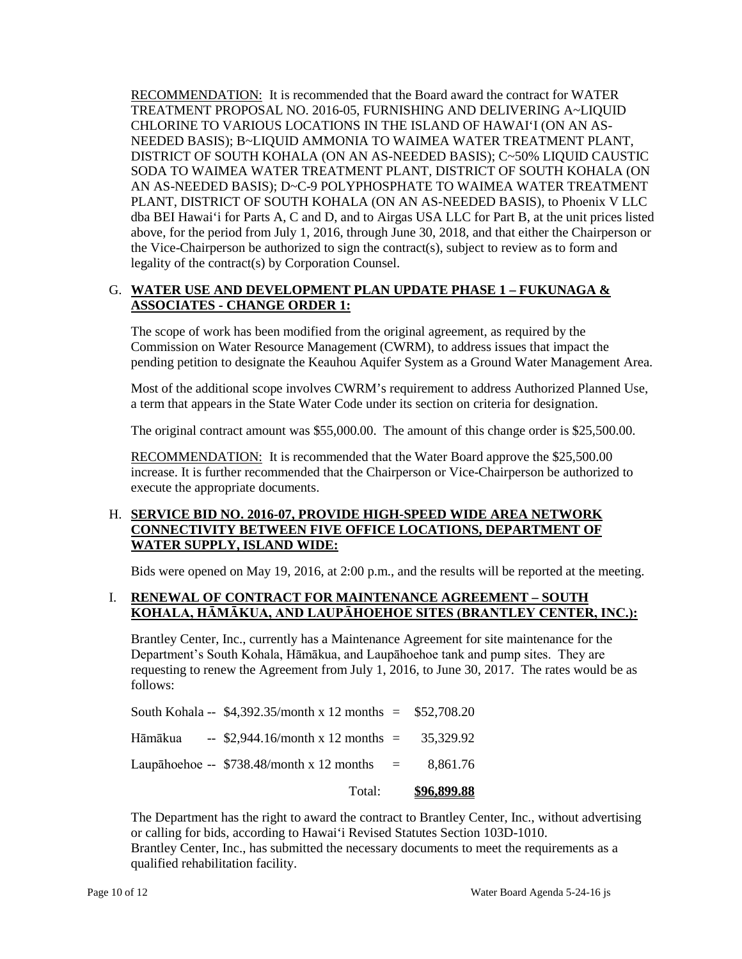RECOMMENDATION: It is recommended that the Board award the contract for WATER CHLORINE TO VARIOUS LOCATIONS IN THE ISLAND OF HAWAI'I (ON AN AS- above, for the period from July 1, 2016, through June 30, 2018, and that either the Chairperson or the Vice-Chairperson be authorized to sign the contract(s), subject to review as to form and TREATMENT PROPOSAL NO. 2016-05, FURNISHING AND DELIVERING A~LIQUID NEEDED BASIS); B~LIQUID AMMONIA TO WAIMEA WATER TREATMENT PLANT, DISTRICT OF SOUTH KOHALA (ON AN AS-NEEDED BASIS); C~50% LIQUID CAUSTIC SODA TO WAIMEA WATER TREATMENT PLANT, DISTRICT OF SOUTH KOHALA (ON AN AS-NEEDED BASIS); D~C-9 POLYPHOSPHATE TO WAIMEA WATER TREATMENT PLANT, DISTRICT OF SOUTH KOHALA (ON AN AS-NEEDED BASIS), to Phoenix V LLC dba BEI Hawai'i for Parts A, C and D, and to Airgas USA LLC for Part B, at the unit prices listed legality of the contract(s) by Corporation Counsel.

# G. **WATER USE AND DEVELOPMENT PLAN UPDATE PHASE 1 – FUKUNAGA & ASSOCIATES - CHANGE ORDER 1:**

pending petition to designate the Keauhou Aquifer System as a Ground Water Management Area. The scope of work has been modified from the original agreement, as required by the Commission on Water Resource Management (CWRM), to address issues that impact the

 pending petition to designate the Keauhou Aquifer System as a Ground Water Management Area. Most of the additional scope involves CWRM's requirement to address Authorized Planned Use, a term that appears in the State Water Code under its section on criteria for designation.

The original contract amount was \$55,000.00. The amount of this change order is \$25,500.00.

RECOMMENDATION: It is recommended that the Water Board approve the \$25,500.00 increase. It is further recommended that the Chairperson or Vice-Chairperson be authorized to execute the appropriate documents.

# H. **SERVICE BID NO. 2016-07, PROVIDE HIGH-SPEED WIDE AREA NETWORK CONNECTIVITY BETWEEN FIVE OFFICE LOCATIONS, DEPARTMENT OF WATER SUPPLY, ISLAND WIDE:**

Bids were opened on May 19, 2016, at 2:00 p.m., and the results will be reported at the meeting.

## **KOHALA, HĀMĀKUA, AND LAUPĀHOEHOE SITES (BRANTLEY CENTER, INC.):**  I. **RENEWAL OF CONTRACT FOR MAINTENANCE AGREEMENT – SOUTH**

 requesting to renew the Agreement from July 1, 2016, to June 30, 2017. The rates would be as Brantley Center, Inc., currently has a Maintenance Agreement for site maintenance for the Department's South Kohala, Hāmākua, and Laupāhoehoe tank and pump sites. They are follows:

| Total:                                                     | \$96,899.88 |
|------------------------------------------------------------|-------------|
| Laupahoehoe -- $$738.48/month x 12 months = 8,861.76$      |             |
| Hāmākua -- \$2,944.16/month x 12 months = $35,329.92$      |             |
| South Kohala -- $$4,392.35/month x 12 months = $52,708.20$ |             |

The Department has the right to award the contract to Brantley Center, Inc., without advertising or calling for bids, according to Hawai'i Revised Statutes Section 103D-1010.

Brantley Center, Inc., has submitted the necessary documents to meet the requirements as a qualified rehabilitation facility.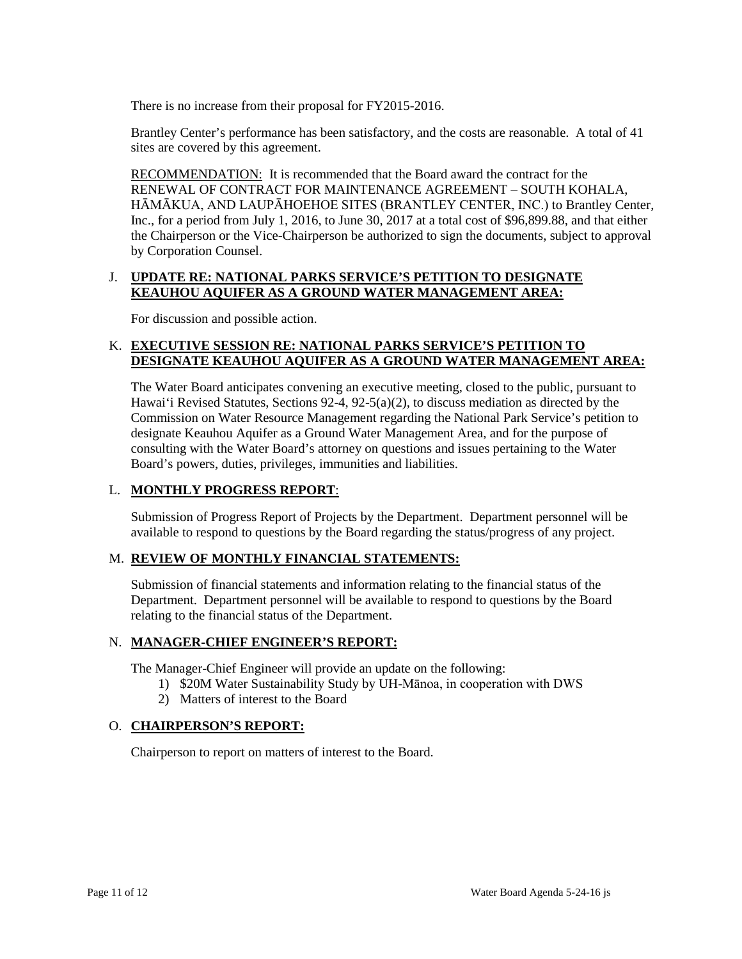There is no increase from their proposal for FY2015-2016.

Brantley Center's performance has been satisfactory, and the costs are reasonable. A total of 41 sites are covered by this agreement.

RECOMMENDATION: It is recommended that the Board award the contract for the HĀMĀKUA, AND LAUPĀHOEHOE SITES (BRANTLEY CENTER, INC.) to Brantley Center, Inc., for a period from July 1, 2016, to June 30, 2017 at a total cost of \$96,899.88, and that either the Chairperson or the Vice-Chairperson be authorized to sign the documents, subject to approval RENEWAL OF CONTRACT FOR MAINTENANCE AGREEMENT – SOUTH KOHALA, by Corporation Counsel.

# J. **UPDATE RE: NATIONAL PARKS SERVICE'S PETITION TO DESIGNATE KEAUHOU AQUIFER AS A GROUND WATER MANAGEMENT AREA:**

For discussion and possible action.

# K. **EXECUTIVE SESSION RE: NATIONAL PARKS SERVICE'S PETITION TO DESIGNATE KEAUHOU AQUIFER AS A GROUND WATER MANAGEMENT AREA:**

 Hawai'i Revised Statutes, Sections 92-4, 92-5(a)(2), to discuss mediation as directed by the Commission on Water Resource Management regarding the National Park Service's petition to consulting with the Water Board's attorney on questions and issues pertaining to the Water The Water Board anticipates convening an executive meeting, closed to the public, pursuant to designate Keauhou Aquifer as a Ground Water Management Area, and for the purpose of Board's powers, duties, privileges, immunities and liabilities.

## L. **MONTHLY PROGRESS REPORT**:

 Submission of Progress Report of Projects by the Department. Department personnel will be available to respond to questions by the Board regarding the status/progress of any project.

## M. **REVIEW OF MONTHLY FINANCIAL STATEMENTS:**

 Submission of financial statements and information relating to the financial status of the relating to the financial status of the Department. Department. Department personnel will be available to respond to questions by the Board

## N. **MANAGER-CHIEF ENGINEER'S REPORT:**

The Manager-Chief Engineer will provide an update on the following:

- 1) \$20M Water Sustainability Study by UH-Mānoa, in cooperation with DWS
- 2) Matters of interest to the Board

## O. **CHAIRPERSON'S REPORT:**

Chairperson to report on matters of interest to the Board.